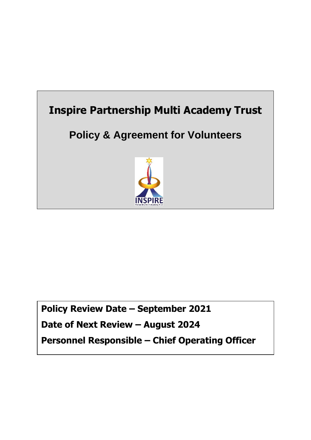

# **Policy Review Date – September 2021 Date of Next Review – August 2024 Personnel Responsible – Chief Operating Officer**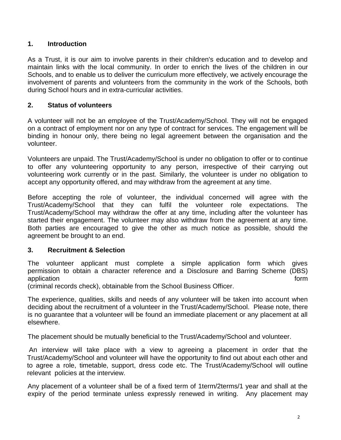### **1. Introduction**

As a Trust, it is our aim to involve parents in their children's education and to develop and maintain links with the local community. In order to enrich the lives of the children in our Schools, and to enable us to deliver the curriculum more effectively, we actively encourage the involvement of parents and volunteers from the community in the work of the Schools, both during School hours and in extra-curricular activities.

#### **2. Status of volunteers**

A volunteer will not be an employee of the Trust/Academy/School. They will not be engaged on a contract of employment nor on any type of contract for services. The engagement will be binding in honour only, there being no legal agreement between the organisation and the volunteer.

Volunteers are unpaid. The Trust/Academy/School is under no obligation to offer or to continue to offer any volunteering opportunity to any person, irrespective of their carrying out volunteering work currently or in the past. Similarly, the volunteer is under no obligation to accept any opportunity offered, and may withdraw from the agreement at any time.

Before accepting the role of volunteer, the individual concerned will agree with the Trust/Academy/School that they can fulfil the volunteer role expectations. The Trust/Academy/School may withdraw the offer at any time, including after the volunteer has started their engagement. The volunteer may also withdraw from the agreement at any time. Both parties are encouraged to give the other as much notice as possible, should the agreement be brought to an end.

#### **3. Recruitment & Selection**

The volunteer applicant must complete a simple application form which gives permission to obtain a character reference and a Disclosure and Barring Scheme (DBS) application form  $\blacksquare$ 

(criminal records check), obtainable from the School Business Officer.

The experience, qualities, skills and needs of any volunteer will be taken into account when deciding about the recruitment of a volunteer in the Trust/Academy/School. Please note, there is no guarantee that a volunteer will be found an immediate placement or any placement at all elsewhere.

The placement should be mutually beneficial to the Trust/Academy/School and volunteer.

An interview will take place with a view to agreeing a placement in order that the Trust/Academy/School and volunteer will have the opportunity to find out about each other and to agree a role, timetable, support, dress code etc. The Trust/Academy/School will outline relevant policies at the interview.

Any placement of a volunteer shall be of a fixed term of 1term/2terms/1 year and shall at the expiry of the period terminate unless expressly renewed in writing. Any placement may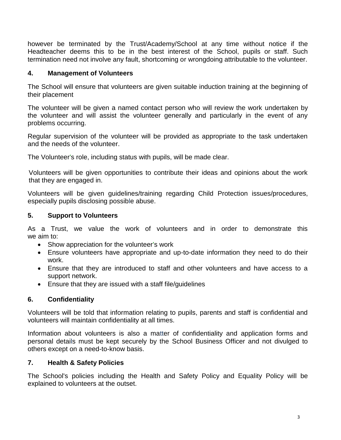however be terminated by the Trust/Academy/School at any time without notice if the Headteacher deems this to be in the best interest of the School, pupils or staff. Such termination need not involve any fault, shortcoming or wrongdoing attributable to the volunteer.

# **4. Management of Volunteers**

The School will ensure that volunteers are given suitable induction training at the beginning of their placement

The volunteer will be given a named contact person who will review the work undertaken by the volunteer and will assist the volunteer generally and particularly in the event of any problems occurring.

Regular supervision of the volunteer will be provided as appropriate to the task undertaken and the needs of the volunteer.

The Volunteer's role, including status with pupils, will be made clear.

Volunteers will be given opportunities to contribute their ideas and opinions about the work that they are engaged in.

Volunteers will be given guidelines/training regarding Child Protection issues/procedures, especially pupils disclosing possible abuse.

# **5. Support to Volunteers**

As a Trust, we value the work of volunteers and in order to demonstrate this we aim to:

- Show appreciation for the volunteer's work
- Ensure volunteers have appropriate and up-to-date information they need to do their work.
- Ensure that they are introduced to staff and other volunteers and have access to a support network.
- Ensure that they are issued with a staff file/guidelines

# **6. Confidentiality**

Volunteers will be told that information relating to pupils, parents and staff is confidential and volunteers will maintain confidentiality at all times.

Information about volunteers is also a matter of confidentiality and application forms and personal details must be kept securely by the School Business Officer and not divulged to others except on a need-to-know basis.

# **7. Health & Safety Policies**

The School's policies including the Health and Safety Policy and Equality Policy will be explained to volunteers at the outset.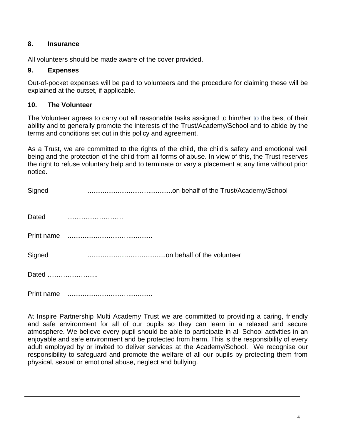### **8. Insurance**

All volunteers should be made aware of the cover provided.

#### **9. Expenses**

Out-of-pocket expenses will be paid to volunteers and the procedure for claiming these will be explained at the outset, if applicable.

#### **10. The Volunteer**

The Volunteer agrees to carry out all reasonable tasks assigned to him/her to the best of their ability and to generally promote the interests of the Trust/Academy/School and to abide by the terms and conditions set out in this policy and agreement.

As a Trust, we are committed to the rights of the child, the child's safety and emotional well being and the protection of the child from all forms of abuse. In view of this, the Trust reserves the right to refuse voluntary help and to terminate or vary a placement at any time without prior notice.

| Signed     |  |
|------------|--|
| Dated      |  |
| Print name |  |
| Signed     |  |
| Dated      |  |
| Print name |  |

At Inspire Partnership Multi Academy Trust we are committed to providing a caring, friendly and safe environment for all of our pupils so they can learn in a relaxed and secure atmosphere. We believe every pupil should be able to participate in all School activities in an enjoyable and safe environment and be protected from harm. This is the responsibility of every adult employed by or invited to deliver services at the Academy/School. We recognise our responsibility to safeguard and promote the welfare of all our pupils by protecting them from physical, sexual or emotional abuse, neglect and bullying.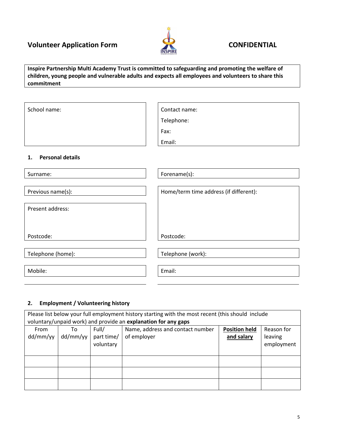# **Volunteer Application Form CONFIDENTIAL**



**Inspire Partnership Multi Academy Trust is committed to safeguarding and promoting the welfare of children, young people and vulnerable adults and expects all employees and volunteers to share this commitment**

School name:  $\vert$  | Contact name: Telephone: Fax: Email: **1. Personal details**

| Surname:          | Forename(s):                           |
|-------------------|----------------------------------------|
|                   |                                        |
| Previous name(s): | Home/term time address (if different): |
|                   |                                        |
| Present address:  |                                        |
|                   |                                        |
|                   |                                        |
| Postcode:         | Postcode:                              |
|                   |                                        |
| Telephone (home): | Telephone (work):                      |
|                   |                                        |
| Mobile:           | Email:                                 |
|                   |                                        |
|                   |                                        |

#### **2. Employment / Volunteering history**

| Please list below your full employment history starting with the most recent (this should include<br>voluntary/unpaid work) and provide an explanation for any gaps |          |            |                                  |                      |            |  |
|---------------------------------------------------------------------------------------------------------------------------------------------------------------------|----------|------------|----------------------------------|----------------------|------------|--|
|                                                                                                                                                                     |          |            |                                  |                      |            |  |
| From                                                                                                                                                                | To       | Full/      | Name, address and contact number | <b>Position held</b> | Reason for |  |
| dd/mm/yy                                                                                                                                                            | dd/mm/yy | part time/ | of employer                      | and salary           | leaving    |  |
|                                                                                                                                                                     |          | voluntary  |                                  |                      | employment |  |
|                                                                                                                                                                     |          |            |                                  |                      |            |  |
|                                                                                                                                                                     |          |            |                                  |                      |            |  |
|                                                                                                                                                                     |          |            |                                  |                      |            |  |
|                                                                                                                                                                     |          |            |                                  |                      |            |  |
|                                                                                                                                                                     |          |            |                                  |                      |            |  |
|                                                                                                                                                                     |          |            |                                  |                      |            |  |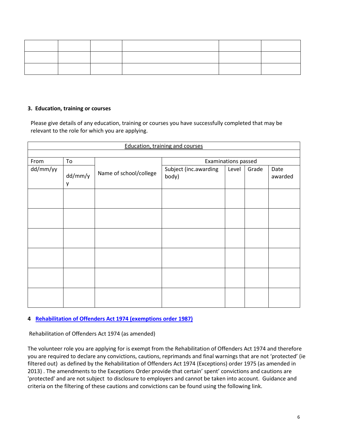#### **3. Education, training or courses**

Please give details of any education, training or courses you have successfully completed that may be relevant to the role for which you are applying.

| <b>Education, training and courses</b> |              |                        |                                |       |       |                 |  |  |
|----------------------------------------|--------------|------------------------|--------------------------------|-------|-------|-----------------|--|--|
|                                        |              |                        |                                |       |       |                 |  |  |
| From                                   | To           |                        | <b>Examinations passed</b>     |       |       |                 |  |  |
| dd/mm/yy                               | dd/mm/y<br>у | Name of school/college | Subject (inc.awarding<br>body) | Level | Grade | Date<br>awarded |  |  |
|                                        |              |                        |                                |       |       |                 |  |  |
|                                        |              |                        |                                |       |       |                 |  |  |
|                                        |              |                        |                                |       |       |                 |  |  |
|                                        |              |                        |                                |       |       |                 |  |  |
|                                        |              |                        |                                |       |       |                 |  |  |
|                                        |              |                        |                                |       |       |                 |  |  |

#### **4 Rehabilitation of Offenders Act 1974 (exemptions order 1987)**

Rehabilitation of Offenders Act 1974 (as amended)

The volunteer role you are applying for is exempt from the Rehabilitation of Offenders Act 1974 and therefore you are required to declare any convictions, cautions, reprimands and final warnings that are not 'protected' (ie filtered out) as defined by the Rehabilitation of Offenders Act 1974 (Exceptions) order 1975 (as amended in 2013) . The amendments to the Exceptions Order provide that certain' spent' convictions and cautions are 'protected' and are not subject to disclosure to employers and cannot be taken into account. Guidance and criteria on the filtering of these cautions and convictions can be found using the following link.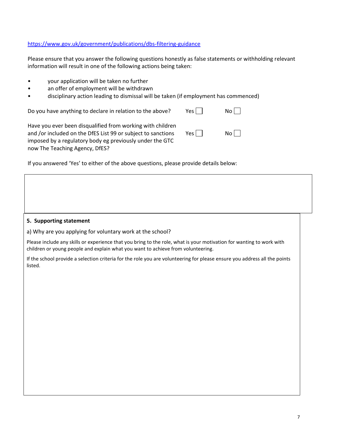#### <https://www.gov.uk/government/publications/dbs-filtering-guidance>

Please ensure that you answer the following questions honestly as false statements or withholding relevant information will result in one of the following actions being taken:

- your application will be taken no further
- an offer of employment will be withdrawn
- disciplinary action leading to dismissal will be taken (if employment has commenced)

Do you have anything to declare in relation to the above? Yes  $\Box$  No  $\Box$ 

| Have you ever been disqualified from working with children   |         |     |
|--------------------------------------------------------------|---------|-----|
| and /or included on the DfES List 99 or subject to sanctions | Yes $ $ | No. |
| imposed by a regulatory body eg previously under the GTC     |         |     |
| now The Teaching Agency, DfES?                               |         |     |

If you answered 'Yes' to either of the above questions, please provide details below:

#### **5. Supporting statement**

a) Why are you applying for voluntary work at the school?

Please include any skills or experience that you bring to the role, what is your motivation for wanting to work with children or young people and explain what you want to achieve from volunteering.

If the school provide a selection criteria for the role you are volunteering for please ensure you address all the points listed.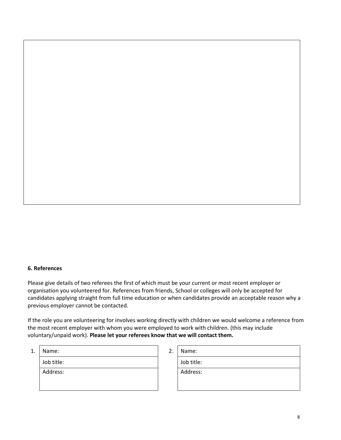#### **6. References**

Please give details of two referees the first of which must be your current or most recent employer or organisation you volunteered for. References from friends, School or colleges will only be accepted for candidates applying straight from full time education or when candidates provide an acceptable reason why a previous employer cannot be contacted.

If the role you are volunteering for involves working directly with children we would welcome a reference from the most recent employer with whom you were employed to work with children. (this may include voluntary/unpaid work). **Please let your referees know that we will contact them.** 

| 1<br>⊥. | Name:      | 2. | Name:      |
|---------|------------|----|------------|
|         | Job title: |    | Job title: |
|         | Address:   |    | Address:   |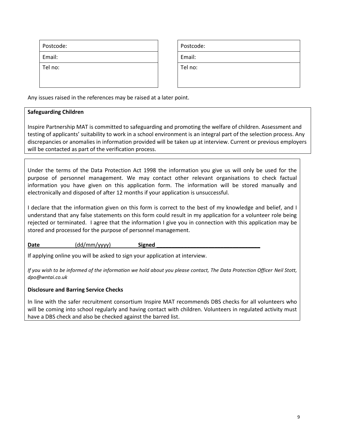| Postcode: | Postcode: |
|-----------|-----------|
| Email:    | Email:    |
| Tel no:   | Tel no:   |

| Postcode: |
|-----------|
| Email:    |
| Tel no:   |
|           |

Any issues raised in the references may be raised at a later point.

#### **Safeguarding Children**

Inspire Partnership MAT is committed to safeguarding and promoting the welfare of children. Assessment and testing of applicants' suitability to work in a school environment is an integral part of the selection process. Any discrepancies or anomalies in information provided will be taken up at interview. Current or previous employers will be contacted as part of the verification process.

Under the terms of the Data Protection Act 1998 the information you give us will only be used for the purpose of personnel management. We may contact other relevant organisations to check factual information you have given on this application form. The information will be stored manually and electronically and disposed of after 12 months if your application is unsuccessful.

I declare that the information given on this form is correct to the best of my knowledge and belief, and I understand that any false statements on this form could result in my application for a volunteer role being rejected or terminated. I agree that the information I give you in connection with this application may be stored and processed for the purpose of personnel management.

Date (dd/mm/yyyy) Signed

If applying online you will be asked to sign your application at interview.

*If you wish to be informed of the information we hold about you please contact, The Data Protection Officer Neil Stott, dpo@wntai.co.uk*

#### **Disclosure and Barring Service Checks**

In line with the safer recruitment consortium Inspire MAT recommends DBS checks for all volunteers who will be coming into school regularly and having contact with children. Volunteers in regulated activity must have a DBS check and also be checked against the barred list.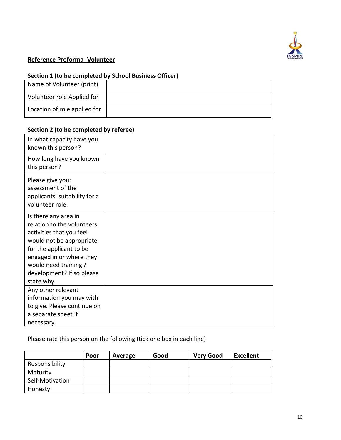

# **Reference Proforma- Volunteer**

#### **Section 1 (to be completed by School Business Officer)**

| Name of Volunteer (print)    |  |
|------------------------------|--|
| Volunteer role Applied for   |  |
| Location of role applied for |  |

# **Section 2 (to be completed by referee)**

| In what capacity have you<br>known this person?                                                                                                                                                                                       |  |
|---------------------------------------------------------------------------------------------------------------------------------------------------------------------------------------------------------------------------------------|--|
| How long have you known<br>this person?                                                                                                                                                                                               |  |
| Please give your<br>assessment of the<br>applicants' suitability for a<br>volunteer role.                                                                                                                                             |  |
| Is there any area in<br>relation to the volunteers<br>activities that you feel<br>would not be appropriate<br>for the applicant to be<br>engaged in or where they<br>would need training /<br>development? If so please<br>state why. |  |
| Any other relevant<br>information you may with<br>to give. Please continue on<br>a separate sheet if<br>necessary.                                                                                                                    |  |

Please rate this person on the following (tick one box in each line)

|                 | Poor | Average | Good | <b>Very Good</b> | <b>Excellent</b> |
|-----------------|------|---------|------|------------------|------------------|
| Responsibility  |      |         |      |                  |                  |
| Maturity        |      |         |      |                  |                  |
| Self-Motivation |      |         |      |                  |                  |
| Honesty         |      |         |      |                  |                  |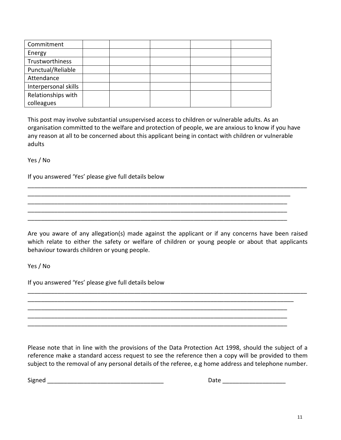| Commitment           |  |  |  |
|----------------------|--|--|--|
| Energy               |  |  |  |
| Trustworthiness      |  |  |  |
| Punctual/Reliable    |  |  |  |
| Attendance           |  |  |  |
| Interpersonal skills |  |  |  |
| Relationships with   |  |  |  |
| colleagues           |  |  |  |

This post may involve substantial unsupervised access to children or vulnerable adults. As an organisation committed to the welfare and protection of people, we are anxious to know if you have any reason at all to be concerned about this applicant being in contact with children or vulnerable adults

Yes / No

If you answered 'Yes' please give full details below

Are you aware of any allegation(s) made against the applicant or if any concerns have been raised which relate to either the safety or welfare of children or young people or about that applicants behaviour towards children or young people.

\_\_\_\_\_\_\_\_\_\_\_\_\_\_\_\_\_\_\_\_\_\_\_\_\_\_\_\_\_\_\_\_\_\_\_\_\_\_\_\_\_\_\_\_\_\_\_\_\_\_\_\_\_\_\_\_\_\_\_\_\_\_\_\_\_\_\_\_\_\_\_\_\_\_\_\_\_\_\_\_\_\_\_\_ \_\_\_\_\_\_\_\_\_\_\_\_\_\_\_\_\_\_\_\_\_\_\_\_\_\_\_\_\_\_\_\_\_\_\_\_\_\_\_\_\_\_\_\_\_\_\_\_\_\_\_\_\_\_\_\_\_\_\_\_\_\_\_\_\_\_\_\_\_\_\_\_\_\_\_\_\_\_\_\_ \_\_\_\_\_\_\_\_\_\_\_\_\_\_\_\_\_\_\_\_\_\_\_\_\_\_\_\_\_\_\_\_\_\_\_\_\_\_\_\_\_\_\_\_\_\_\_\_\_\_\_\_\_\_\_\_\_\_\_\_\_\_\_\_\_\_\_\_\_\_\_\_\_\_\_\_\_\_ \_\_\_\_\_\_\_\_\_\_\_\_\_\_\_\_\_\_\_\_\_\_\_\_\_\_\_\_\_\_\_\_\_\_\_\_\_\_\_\_\_\_\_\_\_\_\_\_\_\_\_\_\_\_\_\_\_\_\_\_\_\_\_\_\_\_\_\_\_\_\_\_\_\_\_\_\_\_ \_\_\_\_\_\_\_\_\_\_\_\_\_\_\_\_\_\_\_\_\_\_\_\_\_\_\_\_\_\_\_\_\_\_\_\_\_\_\_\_\_\_\_\_\_\_\_\_\_\_\_\_\_\_\_\_\_\_\_\_\_\_\_\_\_\_\_\_\_\_\_\_\_\_\_\_\_\_

\_\_\_\_\_\_\_\_\_\_\_\_\_\_\_\_\_\_\_\_\_\_\_\_\_\_\_\_\_\_\_\_\_\_\_\_\_\_\_\_\_\_\_\_\_\_\_\_\_\_\_\_\_\_\_\_\_\_\_\_\_\_\_\_\_\_\_\_\_\_\_\_\_\_\_\_\_\_\_\_\_\_\_\_

\_\_\_\_\_\_\_\_\_\_\_\_\_\_\_\_\_\_\_\_\_\_\_\_\_\_\_\_\_\_\_\_\_\_\_\_\_\_\_\_\_\_\_\_\_\_\_\_\_\_\_\_\_\_\_\_\_\_\_\_\_\_\_\_\_\_\_\_\_\_\_\_\_\_\_\_\_\_\_ \_\_\_\_\_\_\_\_\_\_\_\_\_\_\_\_\_\_\_\_\_\_\_\_\_\_\_\_\_\_\_\_\_\_\_\_\_\_\_\_\_\_\_\_\_\_\_\_\_\_\_\_\_\_\_\_\_\_\_\_\_\_\_\_\_\_\_\_\_\_\_\_\_\_\_\_\_\_ \_\_\_\_\_\_\_\_\_\_\_\_\_\_\_\_\_\_\_\_\_\_\_\_\_\_\_\_\_\_\_\_\_\_\_\_\_\_\_\_\_\_\_\_\_\_\_\_\_\_\_\_\_\_\_\_\_\_\_\_\_\_\_\_\_\_\_\_\_\_\_\_\_\_\_\_\_\_ \_\_\_\_\_\_\_\_\_\_\_\_\_\_\_\_\_\_\_\_\_\_\_\_\_\_\_\_\_\_\_\_\_\_\_\_\_\_\_\_\_\_\_\_\_\_\_\_\_\_\_\_\_\_\_\_\_\_\_\_\_\_\_\_\_\_\_\_\_\_\_\_\_\_\_\_\_\_

Yes / No

If you answered 'Yes' please give full details below

Please note that in line with the provisions of the Data Protection Act 1998, should the subject of a reference make a standard access request to see the reference then a copy will be provided to them subject to the removal of any personal details of the referee, e.g home address and telephone number.

Signed \_\_\_\_\_\_\_\_\_\_\_\_\_\_\_\_\_\_\_\_\_\_\_\_\_\_\_\_\_\_\_\_\_\_\_ Date \_\_\_\_\_\_\_\_\_\_\_\_\_\_\_\_\_\_\_